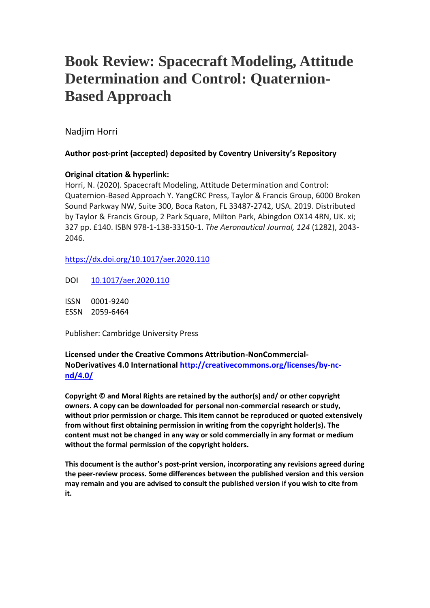## **Book Review: Spacecraft Modeling, Attitude Determination and Control: Quaternion-Based Approach**

Nadjim Horri

**Author post-print (accepted) deposited by Coventry University's Repository**

## **Original citation & hyperlink:**

Horri, N. (2020). Spacecraft Modeling, Attitude Determination and Control: Quaternion-Based Approach Y. YangCRC Press, Taylor & Francis Group, 6000 Broken Sound Parkway NW, Suite 300, Boca Raton, FL 33487-2742, USA. 2019. Distributed by Taylor & Francis Group, 2 Park Square, Milton Park, Abingdon OX14 4RN, UK. xi; 327 pp. £140. ISBN 978-1-138-33150-1. *The Aeronautical Journal, 124* (1282), 2043- 2046.

<https://dx.doi.org/10.1017/aer.2020.110>

DOI [10.1017/aer.2020.110](https://dx.doi.org/10.1017/aer.2020.110)

ISSN 0001-9240

ESSN 2059-6464

Publisher: Cambridge University Press

**Licensed under the Creative Commons Attribution-NonCommercial-NoDerivatives 4.0 International [http://creativecommons.org/licenses/by-nc](http://creativecommons.org/licenses/by-nc-nd/4.0/)[nd/4.0/](http://creativecommons.org/licenses/by-nc-nd/4.0/)**

**Copyright © and Moral Rights are retained by the author(s) and/ or other copyright owners. A copy can be downloaded for personal non-commercial research or study, without prior permission or charge. This item cannot be reproduced or quoted extensively from without first obtaining permission in writing from the copyright holder(s). The content must not be changed in any way or sold commercially in any format or medium without the formal permission of the copyright holders.** 

**This document is the author's post-print version, incorporating any revisions agreed during the peer-review process. Some differences between the published version and this version may remain and you are advised to consult the published version if you wish to cite from it.**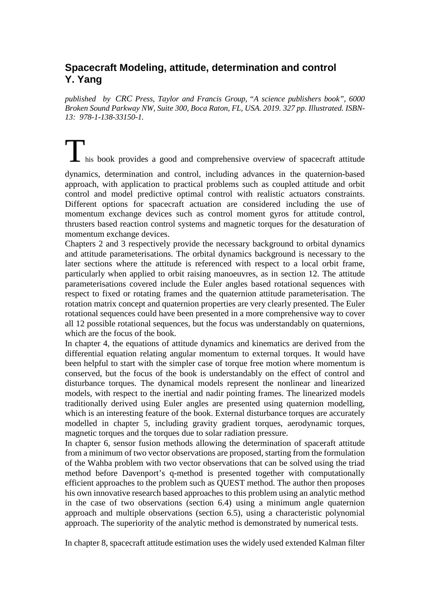## **Spacecraft Modeling, attitude, determination and control Y. Yang**

*published by CRC Press, Taylor and Francis Group, "A science publishers book", 6000 Broken Sound Parkway NW, Suite 300, Boca Raton, FL, USA. 2019. 327 pp. Illustrated. ISBN-13: 978-1-138-33150-1.*

This book provides a good and comprehensive overview of spacecraft attitude dynamics, determination and control, including advances in the quaternion-based approach, with application to practical problems such as coupled attitude and orbit control and model predictive optimal control with realistic actuators constraints. Different options for spacecraft actuation are considered including the use of momentum exchange devices such as control moment gyros for attitude control, thrusters based reaction control systems and magnetic torques for the desaturation of momentum exchange devices.

Chapters 2 and 3 respectively provide the necessary background to orbital dynamics and attitude parameterisations. The orbital dynamics background is necessary to the later sections where the attitude is referenced with respect to a local orbit frame, particularly when applied to orbit raising manoeuvres, as in section 12. The attitude parameterisations covered include the Euler angles based rotational sequences with respect to fixed or rotating frames and the quaternion attitude parameterisation. The rotation matrix concept and quaternion properties are very clearly presented. The Euler rotational sequences could have been presented in a more comprehensive way to cover all 12 possible rotational sequences, but the focus was understandably on quaternions, which are the focus of the book.

In chapter 4, the equations of attitude dynamics and kinematics are derived from the differential equation relating angular momentum to external torques. It would have been helpful to start with the simpler case of torque free motion where momentum is conserved, but the focus of the book is understandably on the effect of control and disturbance torques. The dynamical models represent the nonlinear and linearized models, with respect to the inertial and nadir pointing frames. The linearized models traditionally derived using Euler angles are presented using quaternion modelling, which is an interesting feature of the book. External disturbance torques are accurately modelled in chapter 5, including gravity gradient torques, aerodynamic torques, magnetic torques and the torques due to solar radiation pressure.

In chapter 6, sensor fusion methods allowing the determination of spaceraft attitude from a minimum of two vector observations are proposed, starting from the formulation of the Wahba problem with two vector observations that can be solved using the triad method before Davenport's q-method is presented together with computationally efficient approaches to the problem such as QUEST method. The author then proposes his own innovative research based approaches to this problem using an analytic method in the case of two observations (section 6.4) using a minimum angle quaternion approach and multiple observations (section 6.5), using a characteristic polynomial approach. The superiority of the analytic method is demonstrated by numerical tests.

In chapter 8, spacecraft attitude estimation uses the widely used extended Kalman filter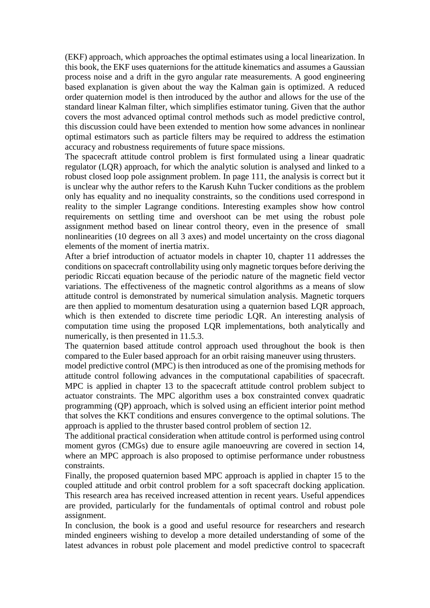(EKF) approach, which approaches the optimal estimates using a local linearization. In this book, the EKF uses quaternions for the attitude kinematics and assumes a Gaussian process noise and a drift in the gyro angular rate measurements. A good engineering based explanation is given about the way the Kalman gain is optimized. A reduced order quaternion model is then introduced by the author and allows for the use of the standard linear Kalman filter, which simplifies estimator tuning. Given that the author covers the most advanced optimal control methods such as model predictive control, this discussion could have been extended to mention how some advances in nonlinear optimal estimators such as particle filters may be required to address the estimation accuracy and robustness requirements of future space missions.

The spacecraft attitude control problem is first formulated using a linear quadratic regulator (LQR) approach, for which the analytic solution is analysed and linked to a robust closed loop pole assignment problem. In page 111, the analysis is correct but it is unclear why the author refers to the Karush Kuhn Tucker conditions as the problem only has equality and no inequality constraints, so the conditions used correspond in reality to the simpler Lagrange conditions. Interesting examples show how control requirements on settling time and overshoot can be met using the robust pole assignment method based on linear control theory, even in the presence of small nonlinearities (10 degrees on all 3 axes) and model uncertainty on the cross diagonal elements of the moment of inertia matrix.

After a brief introduction of actuator models in chapter 10, chapter 11 addresses the conditions on spacecraft controllability using only magnetic torques before deriving the periodic Riccati equation because of the periodic nature of the magnetic field vector variations. The effectiveness of the magnetic control algorithms as a means of slow attitude control is demonstrated by numerical simulation analysis. Magnetic torquers are then applied to momentum desaturation using a quaternion based LQR approach, which is then extended to discrete time periodic LQR. An interesting analysis of computation time using the proposed LQR implementations, both analytically and numerically, is then presented in 11.5.3.

The quaternion based attitude control approach used throughout the book is then compared to the Euler based approach for an orbit raising maneuver using thrusters.

model predictive control (MPC) is then introduced as one of the promising methods for attitude control following advances in the computational capabilities of spacecraft. MPC is applied in chapter 13 to the spacecraft attitude control problem subject to actuator constraints. The MPC algorithm uses a box constrainted convex quadratic programming (QP) approach, which is solved using an efficient interior point method that solves the KKT conditions and ensures convergence to the optimal solutions. The approach is applied to the thruster based control problem of section 12.

The additional practical consideration when attitude control is performed using control moment gyros (CMGs) due to ensure agile manoeuvring are covered in section 14, where an MPC approach is also proposed to optimise performance under robustness constraints.

Finally, the proposed quaternion based MPC approach is applied in chapter 15 to the coupled attitude and orbit control problem for a soft spacecraft docking application. This research area has received increased attention in recent years. Useful appendices are provided, particularly for the fundamentals of optimal control and robust pole assignment.

In conclusion, the book is a good and useful resource for researchers and research minded engineers wishing to develop a more detailed understanding of some of the latest advances in robust pole placement and model predictive control to spacecraft